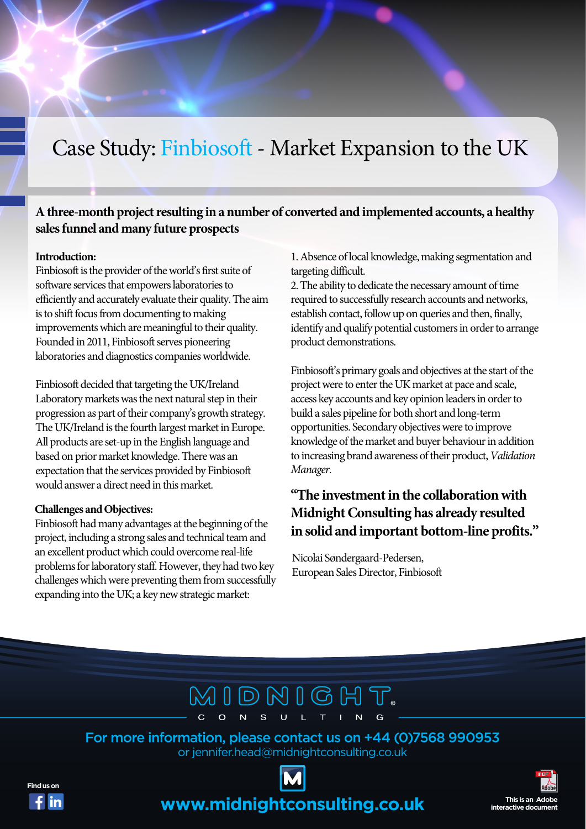## Case Study: Finbiosoft - Market Expansion to the UK

### **A three-month project resulting in a number of converted and implemented accounts, a healthy sales funnel and many future prospects**

#### **Introduction:**

Finbiosoft is the provider of the world's first suite of software services that empowers laboratories to efficiently and accurately evaluate their quality. The aim is to shift focus from documenting to making improvements which are meaningful to their quality. Founded in 2011, Finbiosoft serves pioneering laboratories and diagnostics companies worldwide.

Finbiosoft decided that targeting the UK/Ireland Laboratory markets was the next natural step in their progression as part of their company's growth strategy. The UK/Ireland is the fourth largest market in Europe. All products are set-up in the English language and based on prior market knowledge. There was an expectation that the services provided by Finbiosoft would answer a direct need in this market.

#### **Challenges and Objectives:**

Finbiosoft had many advantages at the beginning of the project, including a strong sales and technical team and an excellent product which could overcome real-life problems for laboratory staff. However, they had two key challenges which were preventing them from successfully expanding into the UK; a key new strategic market:

1. Absence of local knowledge, making segmentation and targeting difficult.

2. The ability to dedicate the necessary amount of time required to successfully research accounts and networks, establish contact, follow up on queries and then, finally, identify and qualify potential customers in order to arrange product demonstrations.

Finbiosoft's primary goals and objectives at the start of the project were to enter the UK market at pace and scale, access key accounts and key opinion leaders in order to build a sales pipeline for both short and long-term opportunities. Secondary objectives were to improve knowledge of the market and buyer behaviour in addition to increasing brand awareness of their product, *Validation Manager*.

## **"The investment in the collaboration with Midnight Consulting has already resulted in solid and important bottom-line profits."**

Nicolai Søndergaard-Pedersen, European Sales Director, Finbiosoft

# MIDNIGHT.

For more information, please contact us on +44 (0)7568 990953 or jennifer.head@midnightconsulting.co.uk





**www.midnightconsulting.co.uk**